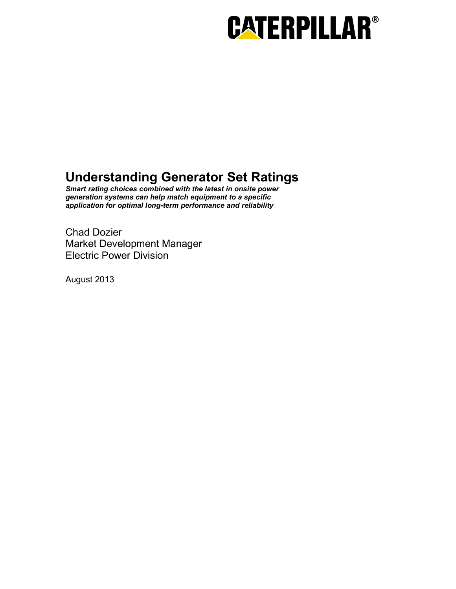# **CATERPILLAR®**

# **Understanding Generator Set Ratings**

*Smart rating choices combined with the latest in onsite power generation systems can help match equipment to a specific application for optimal long-term performance and reliability* 

Chad Dozier Market Development Manager Electric Power Division

August 2013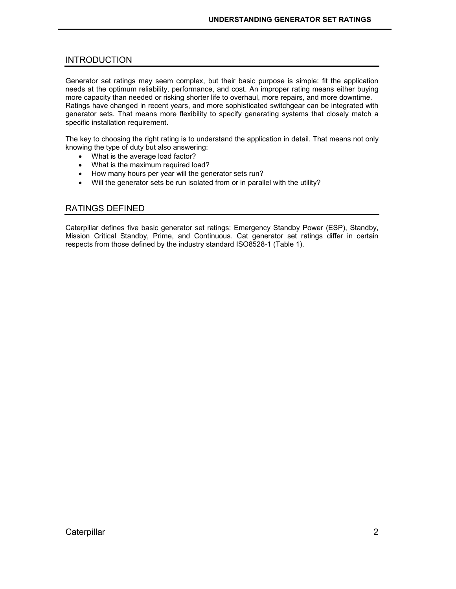# INTRODUCTION

Generator set ratings may seem complex, but their basic purpose is simple: fit the application needs at the optimum reliability, performance, and cost. An improper rating means either buying more capacity than needed or risking shorter life to overhaul, more repairs, and more downtime. Ratings have changed in recent years, and more sophisticated switchgear can be integrated with generator sets. That means more flexibility to specify generating systems that closely match a specific installation requirement.

The key to choosing the right rating is to understand the application in detail. That means not only knowing the type of duty but also answering:

- What is the average load factor?
- What is the maximum required load?
- How many hours per year will the generator sets run?
- Will the generator sets be run isolated from or in parallel with the utility?

# RATINGS DEFINED

Caterpillar defines five basic generator set ratings: Emergency Standby Power (ESP), Standby, Mission Critical Standby, Prime, and Continuous. Cat generator set ratings differ in certain respects from those defined by the industry standard ISO8528-1 (Table 1).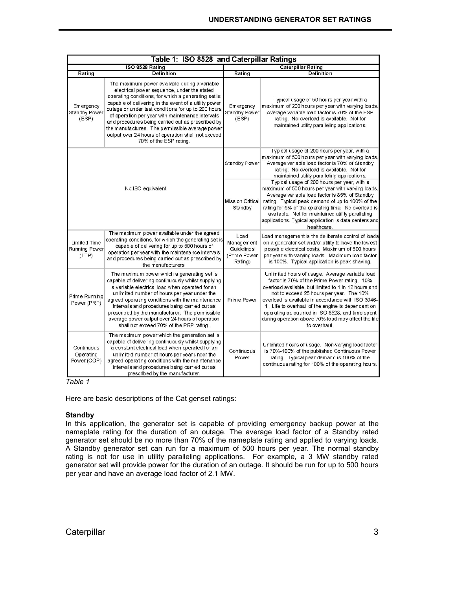| Table 1: ISO 8528 and Caterpillar Ratings     |                                                                                                                                                                                                                                                                                                                                                                                                                                                                                                                 |                                                             |                                                                                                                                                                                                                                                                                                                                                                                                                                            |
|-----------------------------------------------|-----------------------------------------------------------------------------------------------------------------------------------------------------------------------------------------------------------------------------------------------------------------------------------------------------------------------------------------------------------------------------------------------------------------------------------------------------------------------------------------------------------------|-------------------------------------------------------------|--------------------------------------------------------------------------------------------------------------------------------------------------------------------------------------------------------------------------------------------------------------------------------------------------------------------------------------------------------------------------------------------------------------------------------------------|
| ISO 8528 Rating                               |                                                                                                                                                                                                                                                                                                                                                                                                                                                                                                                 | <b>Caterpillar Rating</b>                                   |                                                                                                                                                                                                                                                                                                                                                                                                                                            |
| Rating                                        | Definition                                                                                                                                                                                                                                                                                                                                                                                                                                                                                                      | Rating                                                      | <b>Definition</b>                                                                                                                                                                                                                                                                                                                                                                                                                          |
| Emergency<br><b>Standby Power</b><br>(ESP)    | The maximum power available during a variable<br>electrical power sequence, under the stated<br>operating conditions, for which a generating set is<br>capable of delivering in the event of a utility power<br>outage or under test conditions for up to 200 hours<br>of operation per year with maintenance intervals<br>and procedures being carried out as prescribed by<br>the manufactures. The permissible average power<br>output over 24 hours of operation shall not exceed<br>70% of the ESP rating. | Emergency<br>Standby Power<br>(ESP)                         | Typical usage of 50 hours per year with a<br>maximum of 200 hours per year with varying loads.<br>Average variable load factor is 70% of the ESP<br>rating. No overload is available. Not for<br>maintained utility paralleling applications.                                                                                                                                                                                              |
| No ISO equivalent                             |                                                                                                                                                                                                                                                                                                                                                                                                                                                                                                                 | Standby Power                                               | Typical usage of 200 hours per year, with a<br>maximum of 500 hours per year with varying loads<br>Average variable load factor is 70% of Standby<br>rating. No overload is available. Not for<br>maintained utility paralleling applications.                                                                                                                                                                                             |
|                                               |                                                                                                                                                                                                                                                                                                                                                                                                                                                                                                                 | Standby                                                     | Typical usage of 200 hours per year, with a<br>maximum of 500 hours per year with varying loads.<br>Average variable load factor is 85% of Standby<br>Mission Critical rating. Typical peak demand of up to 100% of the<br>rating for 5% of the operating time. No overload is<br>available. Not for maintained utility paralleling<br>applications. Typical application is data centers and<br>healthcare.                                |
| <b>Limited Time</b><br>Running Power<br>(LTP) | The maximum power available under the agreed<br>operating conditions, for which the generating set is<br>capable of delivering for up to 500 hours of<br>operation per year with the maintenance intervals<br>and procedures being carried out as prescribed by<br>the manufacturers.                                                                                                                                                                                                                           | Load<br>Management<br>Guidelines<br>(Prime Power<br>Rating) | Load management is the deliberate control of loads<br>on a generator set and/or utility to have the lowest<br>possible electrical costs. Maximum of 500 hours<br>per year with varying loads. Maximum load factor<br>is 100%. Typical application is peak shaving.                                                                                                                                                                         |
| Prime Running<br>Power (PRP)                  | The maximum power which a generating set is<br>capable of delivering continuously whilst supplying<br>a variable electrical load when operated for an<br>unlimited number of hours per year under the<br>agreed operating conditions with the maintenance<br>intervals and procedures being carried out as<br>prescribed by the manufacturer. The permissible<br>average power output over 24 hours of operation<br>shall not exceed 70% of the PRP rating.                                                     | Prime Power                                                 | Unlimited hours of usage. Average variable load<br>factor is 70% of the Prime Power rating. 10%<br>overload available, but limited to 1 in 12 hours and<br>not to exceed 25 hours per year. The 10%<br>overload is available in accordance with ISO 3046-<br>1. Life to overhaul of the engine is dependant on<br>operating as outlined in ISO 8528, and time spent<br>during operation above 70% load may affect the life<br>to overhaul. |
| Continuous<br>Operating<br>Power (COP)        | The maximum power which the generation set is<br>capable of delivering continuously whilst supplying<br>a constant electrical load when operated for an<br>unlimited number of hours per year under the<br>agreed operating conditions with the maintenance<br>intervals and procedures being carried out as<br>prescribed by the manufacturer.                                                                                                                                                                 | Continuous<br>Power                                         | Unlimited hours of usage. Non-varying load factor<br>is 70%-100% of the published Continuous Power<br>rating. Typical pear demand is 100% of the<br>continuous rating for 100% of the operating hours.                                                                                                                                                                                                                                     |

*Table 1* 

Here are basic descriptions of the Cat genset ratings:

# **Standby**

In this application, the generator set is capable of providing emergency backup power at the nameplate rating for the duration of an outage. The average load factor of a Standby rated generator set should be no more than 70% of the nameplate rating and applied to varying loads. A Standby generator set can run for a maximum of 500 hours per year. The normal standby rating is not for use in utility paralleling applications. For example, a 3 MW standby rated generator set will provide power for the duration of an outage. It should be run for up to 500 hours per year and have an average load factor of 2.1 MW.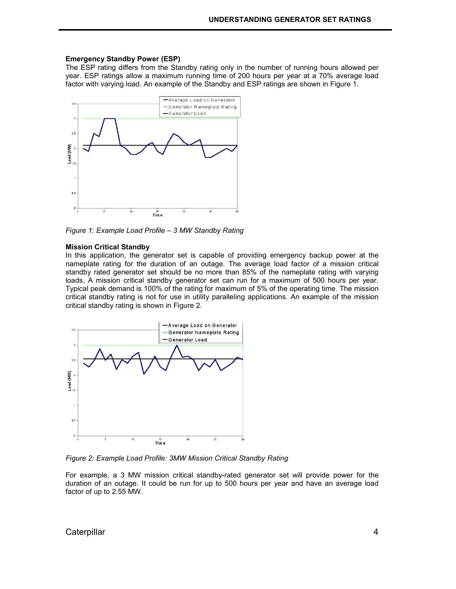#### **Emergency Standby Power (ESP)**

The ESP rating differs from the Standby rating only in the number of running hours allowed per year. ESP ratings allow a maximum running time of 200 hours per year at a 70% average load factor with varying load. An example of the Standby and ESP ratings are shown in Figure 1.



*Figure 1: Example Load Profile – 3 MW Standby Rating* 

#### **Mission Critical Standby**

In this application, the generator set is capable of providing emergency backup power at the nameplate rating for the duration of an outage. The average load factor of a mission critical standby rated generator set should be no more than 85% of the nameplate rating with varying loads. A mission critical standby generator set can run for a maximum of 500 hours per year. Typical peak demand is 100% of the rating for maximum of 5% of the operating time. The mission critical standby rating is not for use in utility paralleling applications. An example of the mission critical standby rating is shown in Figure 2.



*Figure 2: Example Load Profile: 3MW Mission Critical Standby Rating* 

For example, a 3 MW mission critical standby-rated generator set will provide power for the duration of an outage. It could be run for up to 500 hours per year and have an average load factor of up to 2.55 MW.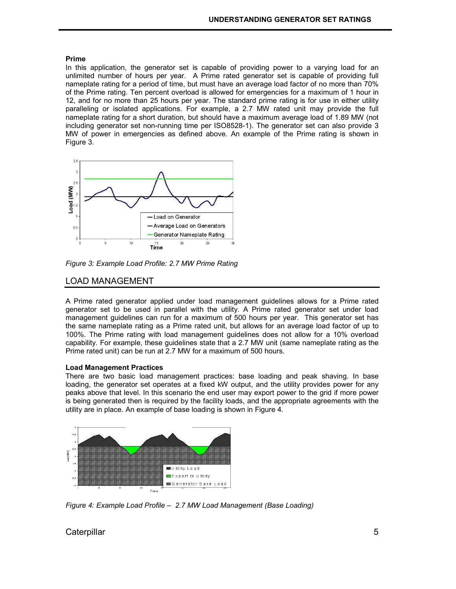# **Prime**

In this application, the generator set is capable of providing power to a varying load for an unlimited number of hours per year. A Prime rated generator set is capable of providing full nameplate rating for a period of time, but must have an average load factor of no more than 70% of the Prime rating. Ten percent overload is allowed for emergencies for a maximum of 1 hour in 12, and for no more than 25 hours per year. The standard prime rating is for use in either utility paralleling or isolated applications. For example, a 2.7 MW rated unit may provide the full nameplate rating for a short duration, but should have a maximum average load of 1.89 MW (not including generator set non-running time per ISO8528-1). The generator set can also provide 3 MW of power in emergencies as defined above. An example of the Prime rating is shown in Figure 3.



*Figure 3: Example Load Profile: 2.7 MW Prime Rating* 

# LOAD MANAGEMENT

A Prime rated generator applied under load management guidelines allows for a Prime rated generator set to be used in parallel with the utility. A Prime rated generator set under load management guidelines can run for a maximum of 500 hours per year. This generator set has the same nameplate rating as a Prime rated unit, but allows for an average load factor of up to 100%. The Prime rating with load management guidelines does not allow for a 10% overload capability. For example, these guidelines state that a 2.7 MW unit (same nameplate rating as the Prime rated unit) can be run at 2.7 MW for a maximum of 500 hours.

# **Load Management Practices**

There are two basic load management practices: base loading and peak shaving. In base loading, the generator set operates at a fixed kW output, and the utility provides power for any peaks above that level. In this scenario the end user may export power to the grid if more power is being generated then is required by the facility loads, and the appropriate agreements with the utility are in place. An example of base loading is shown in Figure 4.



*Figure 4: Example Load Profile – 2.7 MW Load Management (Base Loading)* 

Caterpillar 5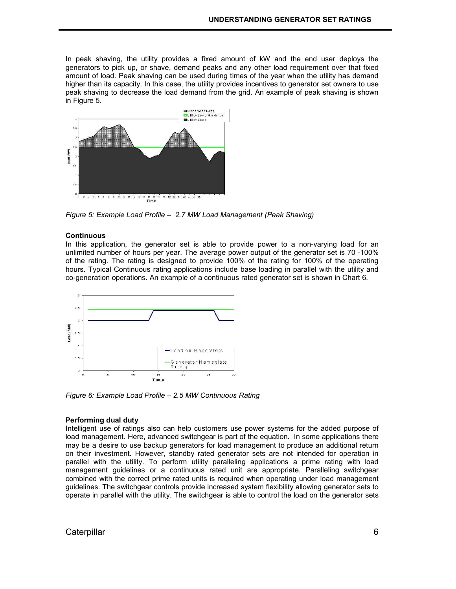In peak shaving, the utility provides a fixed amount of kW and the end user deploys the generators to pick up, or shave, demand peaks and any other load requirement over that fixed amount of load. Peak shaving can be used during times of the year when the utility has demand higher than its capacity. In this case, the utility provides incentives to generator set owners to use peak shaving to decrease the load demand from the grid. An example of peak shaving is shown in Figure 5.



*Figure 5: Example Load Profile – 2.7 MW Load Management (Peak Shaving)* 

### **Continuous**

In this application, the generator set is able to provide power to a non-varying load for an unlimited number of hours per year. The average power output of the generator set is 70 -100% of the rating. The rating is designed to provide 100% of the rating for 100% of the operating hours. Typical Continuous rating applications include base loading in parallel with the utility and co-generation operations. An example of a continuous rated generator set is shown in Chart 6.



*Figure 6: Example Load Profile – 2.5 MW Continuous Rating* 

### **Performing dual duty**

Intelligent use of ratings also can help customers use power systems for the added purpose of load management. Here, advanced switchgear is part of the equation. In some applications there may be a desire to use backup generators for load management to produce an additional return on their investment. However, standby rated generator sets are not intended for operation in parallel with the utility. To perform utility paralleling applications a prime rating with load management guidelines or a continuous rated unit are appropriate. Paralleling switchgear combined with the correct prime rated units is required when operating under load management guidelines. The switchgear controls provide increased system flexibility allowing generator sets to operate in parallel with the utility. The switchgear is able to control the load on the generator sets